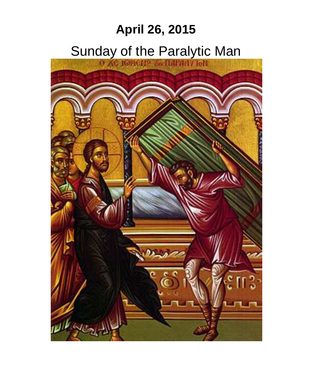# **April 26, 2015**

# Sunday of the Paralytic Man

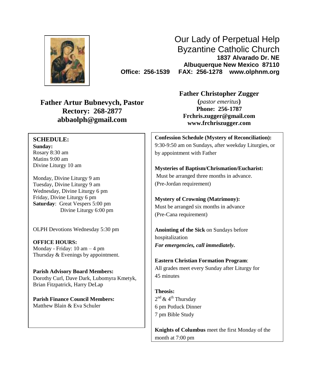

Our Lady of Perpetual Help Byzantine Catholic Church **1837 Alvarado Dr. NE Albuquerque New Mexico 87110 Office: 256-1539 FAX: 256-1278 www.olphnm.org**

**Father Artur Bubnevych, Pastor Rectory: 268-2877 abbaolph@gmail.com**

# **SCHEDULE:**

**Sunday:** Rosary 8:30 am Matins 9:00 am Divine Liturgy 10 am

Monday, Divine Liturgy 9 am Tuesday, Divine Liturgy 9 am Wednesday, Divine Liturgy 6 pm Friday, Divine Liturgy 6 pm **Saturday**: Great Vespers 5:00 pm Divine Liturgy 6:00 pm

OLPH Devotions Wednesday 5:30 pm

**OFFICE HOURS:** Monday - Friday: 10 am – 4 pm Thursday & Evenings by appointment.

**Parish Advisory Board Members:** Dorothy Curl, Dave Dark, Lubomyra Kmetyk, Brian Fitzpatrick, Harry DeLap

**Parish Finance Council Members:** Matthew Blain & Eva Schuler

**Father Christopher Zugger**

**(***pastor emeritus***) Phone: 256-1787 [Frchris.zugger@gmail.com](mailto:Frchris.zugger@gmail.com) www.frchriszugger.com**

**Confession Schedule (Mystery of Reconciliation):** 9:30-9:50 am on Sundays, after weekday Liturgies, or by appointment with Father

**Mysteries of Baptism/Chrismation/Eucharist:** Must be arranged three months in advance. (Pre-Jordan requirement)

**Mystery of Crowning (Matrimony):** Must be arranged six months in advance (Pre-Cana requirement)

**Anointing of the Sick** on Sundays before hospitalization *For emergencies, call immediately.*

**Eastern Christian Formation Program**: All grades meet every Sunday after Liturgy for 45 minutes

**Theosis:** 2<sup>nd</sup> & 4<sup>th</sup> Thursday 6 pm Potluck Dinner 7 pm Bible Study

**Knights of Columbus** meet the first Monday of the month at 7:00 pm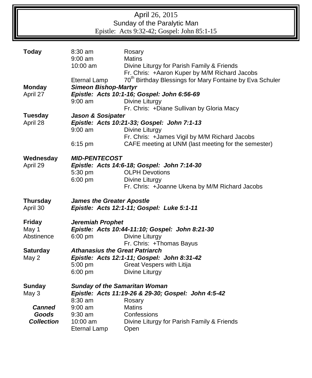| April 26, 2015<br>Sunday of the Paralytic Man<br>Epistle: Acts 9:32-42; Gospel: John 85:1-15 |                                                                                |                                                                                                                                                                                                                                      |
|----------------------------------------------------------------------------------------------|--------------------------------------------------------------------------------|--------------------------------------------------------------------------------------------------------------------------------------------------------------------------------------------------------------------------------------|
| <b>Today</b>                                                                                 | $8:30$ am<br>9:00 am<br>$10:00$ am                                             | Rosary<br><b>Matins</b><br>Divine Liturgy for Parish Family & Friends<br>Fr. Chris: +Aaron Kuper by M/M Richard Jacobs                                                                                                               |
| <b>Monday</b><br>April 27                                                                    | Eternal Lamp<br><b>Simeon Bishop-Martyr</b><br>$9:00$ am                       | 70 <sup>th</sup> Birthday Blessings for Mary Fontaine by Eva Schuler<br>Epistle: Acts 10:1-16; Gospel: John 6:56-69<br>Divine Liturgy<br>Fr. Chris: +Diane Sullivan by Gloria Macy                                                   |
| <b>Tuesday</b><br>April 28                                                                   | <b>Jason &amp; Sosipater</b><br>$9:00$ am<br>6:15 pm                           | Epistle: Acts 10:21-33; Gospel: John 7:1-13<br>Divine Liturgy<br>Fr. Chris: +James Vigil by M/M Richard Jacobs<br>CAFE meeting at UNM (last meeting for the semester)                                                                |
| Wednesday<br>April 29                                                                        | <b>MID-PENTECOST</b><br>5:30 pm<br>6:00 pm                                     | Epistle: Acts 14:6-18; Gospel: John 7:14-30<br><b>OLPH Devotions</b><br>Divine Liturgy<br>Fr. Chris: +Joanne Ukena by M/M Richard Jacobs                                                                                             |
| <b>Thursday</b><br>April 30                                                                  | <b>James the Greater Apostle</b><br>Epistle: Acts 12:1-11; Gospel: Luke 5:1-11 |                                                                                                                                                                                                                                      |
| <b>Friday</b><br>May 1<br>Abstinence<br><b>Saturday</b><br>May 2                             | Jeremiah Prophet<br>6:00 pm<br>5:00 pm<br>$6:00$ pm                            | Epistle: Acts 10:44-11:10; Gospel: John 8:21-30<br>Divine Liturgy<br>Fr. Chris: +Thomas Bayus<br><b>Athanasius the Great Patriarch</b><br>Epistle: Acts 12:1-11; Gospel: John 8:31-42<br>Great Vespers with Litija<br>Divine Liturgy |
| <b>Sunday</b><br>May 3<br><b>Canned</b><br><b>Goods</b><br><b>Collection</b>                 | $8:30$ am<br>$9:00$ am<br>$9:30$ am<br>$10:00$ am<br>Eternal Lamp              | <b>Sunday of the Samaritan Woman</b><br>Epistle: Acts 11:19-26 & 29-30; Gospel: John 4:5-42<br>Rosary<br><b>Matins</b><br>Confessions<br>Divine Liturgy for Parish Family & Friends<br>Open                                          |

Īī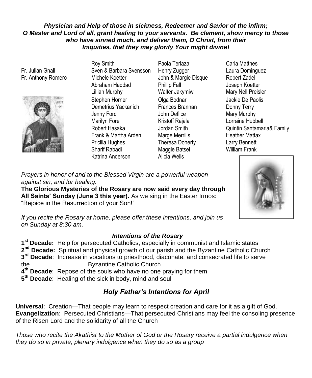#### *Physician and Help of those in sickness, Redeemer and Savior of the infirm; O Master and Lord of all, grant healing to your servants. Be clement, show mercy to those who have sinned much, and deliver them, O Christ, from their Iniquities, that they may glorify Your might divine!*

Fr. Julian Gnall Fr. Anthony Romero



Roy Smith Sven & Barbara Svensson Michele Koetter Abraham Haddad Lillian Murphy Stephen Horner Demetrius Yackanich Jenny Ford Marilyn Fore Robert Hasaka Frank & Martha Arden Pricilla Hughes Sharif Rabadi Katrina Anderson Alicia Wells

- Paola Terlaza Henry Zugger John & Margie Disque Phillip Fall Walter Jakymiw Olga Bodnar Frances Brannan John Deflice Kristoff Rajala Jordan Smith Marge Merrills Theresa Doherty Maggie Batsel
- Carla Matthes Laura Dominguez Robert Zadel Joseph Koetter Mary Nell Preisler Jackie De Paolis Donny Terry Mary Murphy Lorraine Hubbell Quintin Santamaria& Family Heather Mattax Larry Bennett William Frank



*Prayers in honor of and to the Blessed Virgin are a powerful weapon against sin, and for healing.* 

**The Glorious Mysteries of the Rosary are now said every day through All Saints' Sunday (June 3 this year).** As we sing in the Easter Irmos: "Rejoice in the Resurrection of your Son!"

*If you recite the Rosary at home, please offer these intentions, and join us on Sunday at 8:30 am.*

### *Intentions of the Rosary*

 **st Decade:** Help for persecuted Catholics, especially in communist and Islamic states 2<sup>nd</sup> Decade: Spiritual and physical growth of our parish and the Byzantine Catholic Church **rd Decade**: Increase in vocations to priesthood, diaconate, and consecrated life to serve the Byzantine Catholic Church **th Decade**: Repose of the souls who have no one praying for them **th Decade**: Healing of the sick in body, mind and soul

# *Holy Father's Intentions for April*

**Universal**: Creation—That people may learn to respect creation and care for it as a gift of God. **Evangelization**: Persecuted Christians—That persecuted Christians may feel the consoling presence of the Risen Lord and the solidarity of all the Church

*Those who recite the Akathist to the Mother of God or the Rosary receive a partial indulgence when they do so in private, plenary indulgence when they do so as a group*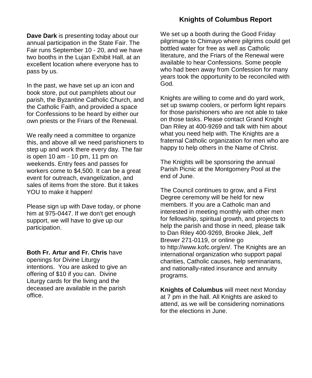# **Knights of Columbus Report**

**Dave Dark** is presenting today about our annual participation in the State Fair. The Fair runs September 10 - 20, and we have two booths in the Lujan Exhibit Hall, at an excellent location where everyone has to pass by us.

In the past, we have set up an icon and book store, put out pamphlets about our parish, the Byzantine Catholic Church, and the Catholic Faith, and provided a space for Confessions to be heard by either our own priests or the Friars of the Renewal.

We really need a committee to organize this, and above all we need parishioners to step up and work there every day. The fair is open 10 am - 10 pm, 11 pm on weekends. Entry fees and passes for workers come to \$4,500. It can be a great event for outreach, evangelization, and sales of items from the store. But it takes YOU to make it happen!

Please sign up with Dave today, or phone him at 975-0447. If we don't get enough support, we will have to give up our participation.

**Both Fr. Artur and Fr. Chris** have

openings for Divine Liturgy intentions. You are asked to give an offering of \$10 if you can. Divine Liturgy cards for the living and the deceased are available in the parish office.

We set up a booth during the Good Friday pilgrimage to Chimayo where pilgrims could get bottled water for free as well as Catholic literature, and the Friars of the Renewal were available to hear Confessions. Some people who had been away from Confession for many years took the opportunity to be reconciled with God.

Knights are willing to come and do yard work, set up swamp coolers, or perform light repairs for those parishioners who are not able to take on those tasks. Please contact Grand Knight Dan Riley at 400-9269 and talk with him about what you need help with. The Knights are a fraternal Catholic organization for men who are happy to help others in the Name of Christ.

The Knights will be sponsoring the annual Parish Picnic at the Montgomery Pool at the end of June.

The Council continues to grow, and a First Degree ceremony will be held for new members. If you are a Catholic man and interested in meeting monthly with other men for fellowship, spiritual growth, and projects to help the parish and those in need, please talk to Dan Riley 400-9269, Brooke Jilek, Jeff Brewer 271-0119, or online go to [http://www.kofc.org/en/.](http://www.kofc.org/en/) The Knights are an international organization who support papal charities, Catholic causes, help seminarians, and nationally-rated insurance and annuity programs.

**Knights of Columbus** will meet next Monday at 7 pm in the hall. All Knights are asked to attend, as we will be considering nominations for the elections in June.